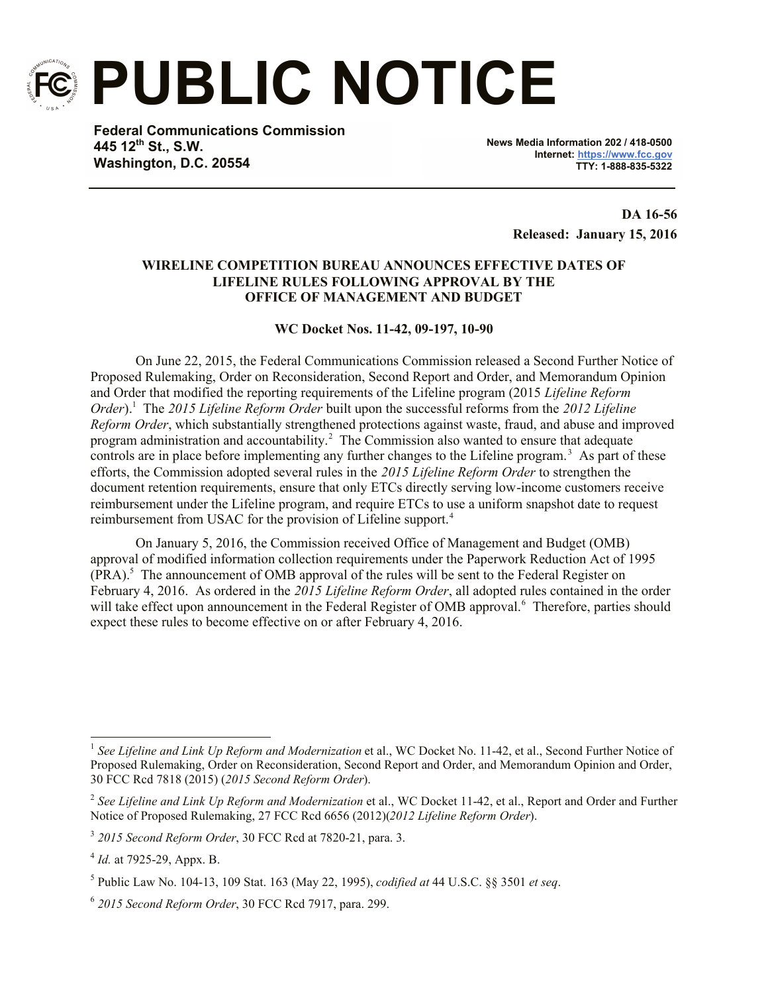

**PUBLIC NOTICE**

**Federal Communications Commission 445 12th St., S.W. Washington, D.C. 20554**

**News Media Information 202 / 418-0500 Internet: https://www.fcc.gov TTY: 1-888-835-5322**

> **DA 16-56 Released: January 15, 2016**

## **WIRELINE COMPETITION BUREAU ANNOUNCES EFFECTIVE DATES OF LIFELINE RULES FOLLOWING APPROVAL BY THE OFFICE OF MANAGEMENT AND BUDGET**

## **WC Docket Nos. 11-42, 09-197, 10-90**

On June 22, 2015, the Federal Communications Commission released a Second Further Notice of Proposed Rulemaking, Order on Reconsideration, Second Report and Order, and Memorandum Opinion and Order that modified the reporting requirements of the Lifeline program (2015 *Lifeline Reform Order*).<sup>1</sup> The *2015 Lifeline Reform Order* built upon the successful reforms from the *2012 Lifeline Reform Order*, which substantially strengthened protections against waste, fraud, and abuse and improved program administration and accountability.<sup>2</sup> The Commission also wanted to ensure that adequate controls are in place before implementing any further changes to the Lifeline program.<sup>3</sup> As part of these efforts, the Commission adopted several rules in the *2015 Lifeline Reform Order* to strengthen the document retention requirements, ensure that only ETCs directly serving low-income customers receive reimbursement under the Lifeline program, and require ETCs to use a uniform snapshot date to request reimbursement from USAC for the provision of Lifeline support.<sup>4</sup>

On January 5, 2016, the Commission received Office of Management and Budget (OMB) approval of modified information collection requirements under the Paperwork Reduction Act of 1995  $(PRA)$ .<sup>5</sup> The announcement of OMB approval of the rules will be sent to the Federal Register on February 4, 2016. As ordered in the *2015 Lifeline Reform Order*, all adopted rules contained in the order will take effect upon announcement in the Federal Register of OMB approval.<sup>6</sup> Therefore, parties should expect these rules to become effective on or after February 4, 2016.

 1 *See Lifeline and Link Up Reform and Modernization* et al., WC Docket No. 11-42, et al., Second Further Notice of Proposed Rulemaking, Order on Reconsideration, Second Report and Order, and Memorandum Opinion and Order, 30 FCC Rcd 7818 (2015) (*2015 Second Reform Order*).

<sup>&</sup>lt;sup>2</sup> See Lifeline and Link Up Reform and Modernization et al., WC Docket 11-42, et al., Report and Order and Further Notice of Proposed Rulemaking, 27 FCC Rcd 6656 (2012)(*2012 Lifeline Reform Order*).

<sup>3</sup> *2015 Second Reform Order*, 30 FCC Rcd at 7820-21, para. 3.

<sup>4</sup> *Id.* at 7925-29, Appx. B.

<sup>5</sup> Public Law No. 104-13, 109 Stat. 163 (May 22, 1995), *codified at* 44 U.S.C. §§ 3501 *et seq*.

<sup>6</sup> *2015 Second Reform Order*, 30 FCC Rcd 7917, para. 299.